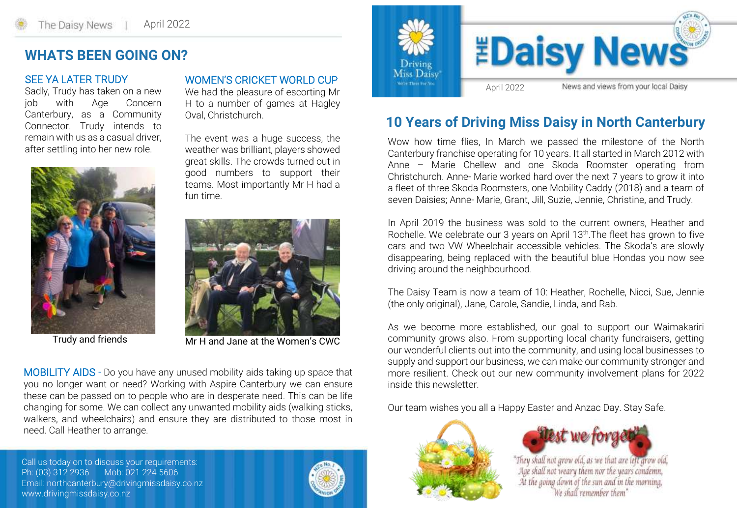### **WHATS BEEN GOING ON?**

#### SEE YA LATER TRUDY

Sadly, Trudy has taken on a new job with Age Concern Canterbury, as a Community Connector. Trudy intends to remain with us as a casual driver, after settling into her new role.



Trudy and friends

WOMEN'S CRICKET WORLD CUP

We had the pleasure of escorting Mr H to a number of games at Hagley Oval, Christchurch.

The event was a huge success, the weather was brilliant, players showed great skills. The crowds turned out in good numbers to support their teams. Most importantly Mr H had a fun time.



Mr H and Jane at the Women's CWC

MOBILITY AIDS - Do you have any unused mobility aids taking up space that you no longer want or need? Working with Aspire Canterbury we can ensure these can be passed on to people who are in desperate need. This can be life changing for some. We can collect any unwanted mobility aids (walking sticks, walkers, and wheelchairs) and ensure they are distributed to those most in need. Call Heather to arrange.

Call us today on to discuss your requirements: Ph: (03) 312 2936 Mob: 021 224 5606 Email: northcanterbury@drivingmissdaisy.co.nz www.drivingmissdaisy.co.nz





## **10 Years of Driving Miss Daisy in North Canterbury**

Wow how time flies, In March we passed the milestone of the North Canterbury franchise operating for 10 years. It all started in March 2012 with Anne – Marie Chellew and one Skoda Roomster operating from Christchurch. Anne- Marie worked hard over the next 7 years to grow it into a fleet of three Skoda Roomsters, one Mobility Caddy (2018) and a team of seven Daisies; Anne- Marie, Grant, Jill, Suzie, Jennie, Christine, and Trudy.

In April 2019 the business was sold to the current owners, Heather and Rochelle. We celebrate our 3 years on April 13<sup>th</sup>. The fleet has grown to five cars and two VW Wheelchair accessible vehicles. The Skoda's are slowly disappearing, being replaced with the beautiful blue Hondas you now see driving around the neighbourhood.

The Daisy Team is now a team of 10: Heather, Rochelle, Nicci, Sue, Jennie (the only original), Jane, Carole, Sandie, Linda, and Rab.

As we become more established, our goal to support our Waimakariri community grows also. From supporting local charity fundraisers, getting our wonderful clients out into the community, and using local businesses to supply and support our business, we can make our community stronger and more resilient. Check out our new community involvement plans for 2022 inside this newsletter.

Our team wishes you all a Happy Easter and Anzac Day. Stay Safe.





"They shall not grow old, as we that are left grow old, Age shall not weary them nor the years condemn, At the going down of the sun and in the morning, We shall remember them"